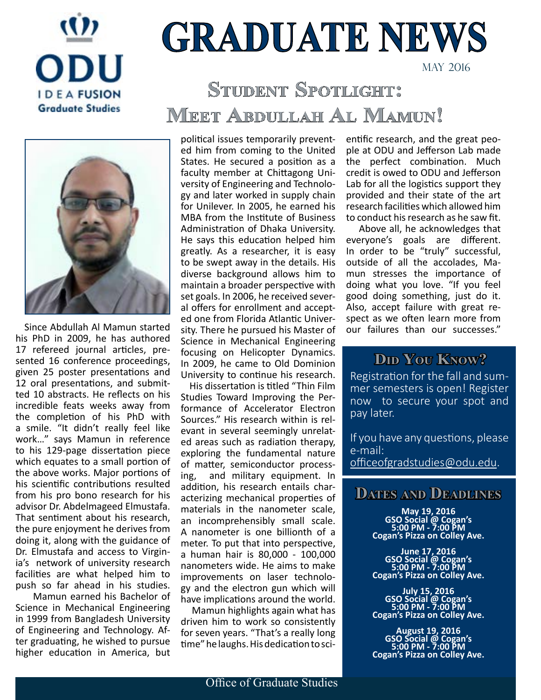

# **GRADUATE NEWS**

MaY 2016

# **Student Spotlight: Meet Abdullah Al Mamun!**



 Since Abdullah Al Mamun started his PhD in 2009, he has authored 17 refereed journal articles, presented 16 conference proceedings, given 25 poster presentations and 12 oral presentations, and submitted 10 abstracts. He reflects on his incredible feats weeks away from the completion of his PhD with a smile. "It didn't really feel like work…" says Mamun in reference to his 129-page dissertation piece which equates to a small portion of the above works. Major portions of his scientific contributions resulted from his pro bono research for his advisor Dr. Abdelmageed Elmustafa. That sentiment about his research, the pure enjoyment he derives from doing it, along with the guidance of Dr. Elmustafa and access to Virginia's network of university research facilities are what helped him to push so far ahead in his studies.

 Mamun earned his Bachelor of Science in Mechanical Engineering in 1999 from Bangladesh University of Engineering and Technology. After graduating, he wished to pursue higher education in America, but political issues temporarily prevented him from coming to the United States. He secured a position as a faculty member at Chittagong University of Engineering and Technology and later worked in supply chain for Unilever. In 2005, he earned his MBA from the Institute of Business Administration of Dhaka University. He says this education helped him greatly. As a researcher, it is easy to be swept away in the details. His diverse background allows him to maintain a broader perspective with set goals. In 2006, he received several offers for enrollment and accepted one from Florida Atlantic University. There he pursued his Master of Science in Mechanical Engineering focusing on Helicopter Dynamics. In 2009, he came to Old Dominion University to continue his research.

 His dissertation is titled "Thin Film Studies Toward Improving the Performance of Accelerator Electron Sources." His research within is relevant in several seemingly unrelated areas such as radiation therapy, exploring the fundamental nature of matter, semiconductor processing, and military equipment. In addition, his research entails characterizing mechanical properties of materials in the nanometer scale, an incomprehensibly small scale. A nanometer is one billionth of a meter. To put that into perspective, a human hair is 80,000 - 100,000 nanometers wide. He aims to make improvements on laser technology and the electron gun which will have implications around the world.

 Mamun highlights again what has driven him to work so consistently for seven years. "That's a really long time" he laughs. His dedication to scientific research, and the great people at ODU and Jefferson Lab made the perfect combination. Much credit is owed to ODU and Jefferson Lab for all the logistics support they provided and their state of the art research facilities which allowed him to conduct his research as he saw fit.

 Above all, he acknowledges that everyone's goals are different. In order to be "truly" successful, outside of all the accolades, Mamun stresses the importance of doing what you love. "If you feel good doing something, just do it. Also, accept failure with great respect as we often learn more from our failures than our successes."

## **Did You Know?**

Registration for the fall and summer semesters is open! Register now to secure your spot and pay later.

If you have any questions, please e-mail: [officeofgradstudies@odu.edu.](mailto:officeofgradstudies@odu.edu)

## **Dates and Deadlines**

**May 19, 2016 GSO Social @ Cogan's 5:00 PM - 7:00 PM Cogan's Pizza on Colley Ave.**

**June 17, 2016 GSO Social @ Cogan's 5:00 PM - 7:00 PM Cogan's Pizza on Colley Ave.**

**July 15, 2016 GSO Social @ Cogan's 5:00 PM - 7:00 PM Cogan's Pizza on Colley Ave.**

**August 19, 2016 GSO Social @ Cogan's 5:00 PM - 7:00 PM Cogan's Pizza on Colley Ave.**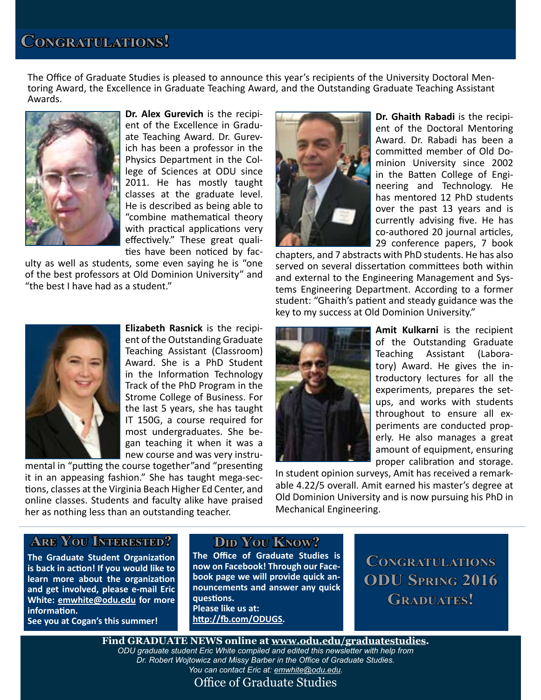The Office of Graduate Studies is pleased to announce this year's recipients of the University Doctoral Mentoring Award, the Excellence in Graduate Teaching Award, and the Outstanding Graduate Teaching Assistant Awards.



**Dr. Alex Gurevich** is the recipient of the Excellence in Graduate Teaching Award. Dr. Gurevich has been a professor in the Physics Department in the College of Sciences at ODU since 2011. He has mostly taught classes at the graduate level. He is described as being able to "combine mathematical theory with practical applications very effectively." These great qualities have been noticed by fac-

ulty as well as students, some even saying he is "one of the best professors at Old Dominion University" and "the best I have had as a student."



**Dr. Ghaith Rabadi** is the recipient of the Doctoral Mentoring Award. Dr. Rabadi has been a committed member of Old Dominion University since 2002 in the Batten College of Engineering and Technology. He has mentored 12 PhD students over the past 13 years and is currently advising five. He has co-authored 20 journal articles, 29 conference papers, 7 book

chapters, and 7 abstracts with PhD students. He has also served on several dissertation committees both within and external to the Engineering Management and Systems Engineering Department. According to a former student: "Ghaith's patient and steady guidance was the key to my success at Old Dominion University."



**Elizabeth Rasnick** is the recipient of the Outstanding Graduate Teaching Assistant (Classroom) Award. She is a PhD Student in the Information Technology Track of the PhD Program in the Strome College of Business. For the last 5 years, she has taught IT 150G, a course required for most undergraduates. She began teaching it when it was a new course and was very instru-

mental in "putting the course together"and "presenting it in an appeasing fashion." She has taught mega-sections, classes at the Virginia Beach Higher Ed Center, and online classes. Students and faculty alike have praised her as nothing less than an outstanding teacher.



**Amit Kulkarni** is the recipient of the Outstanding Graduate Teaching Assistant (Laboratory) Award. He gives the introductory lectures for all the experiments, prepares the setups, and works with students throughout to ensure all experiments are conducted properly. He also manages a great amount of equipment, ensuring proper calibration and storage.

In student opinion surveys, Amit has received a remarkable 4.22/5 overall. Amit earned his master's degree at Old Dominion University and is now pursuing his PhD in Mechanical Engineering.

#### **Are You Interested?**

**The Graduate Student Organization is back in action! If you would like to learn more about the organization and get involved, please e-mail Eric White: [emwhite@odu.edu](mailto:emwhite@odu.edu) for more information.**

**See you at Cogan's this summer!**

#### **Did You Know?**

**The Office of Graduate Studies is now on Facebook! Through our Facebook page we will provide quick announcements and answer any quick questions. Please like us at: <http://fb.com/ODUGS>.**

**Congratulations ODU Spring 2016**  GRADUATES!

**Find GRADUATE NEWS online at<www.odu.edu/graduatestudies>.** *ODU graduate student Eric White compiled and edited this newsletter with help from Dr. Robert Wojtowicz and Missy Barber in the Office of Graduate Studies. You can contact Eric at: [emwhite@odu.edu](mailto:emwhite@odu.edu).*

Office of Graduate Studies